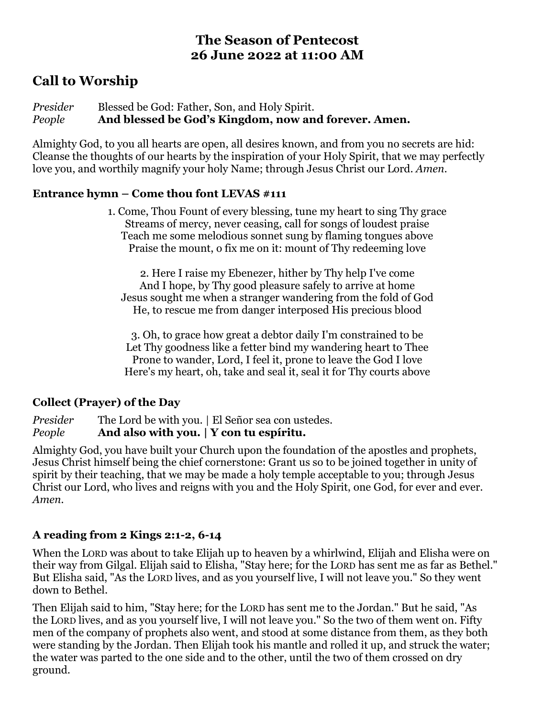## **The Season of Pentecost 26 June 2022 at 11:00 AM**

# **Call to Worship**

*Presider* Blessed be God: Father, Son, and Holy Spirit. *People* **And blessed be God's Kingdom, now and forever. Amen.**

Almighty God, to you all hearts are open, all desires known, and from you no secrets are hid: Cleanse the thoughts of our hearts by the inspiration of your Holy Spirit, that we may perfectly love you, and worthily magnify your holy Name; through Jesus Christ our Lord. *Amen*.

#### **Entrance hymn – Come thou font LEVAS #111**

1. Come, Thou Fount of every blessing, tune my heart to sing Thy grace Streams of mercy, never ceasing, call for songs of loudest praise Teach me some melodious sonnet sung by flaming tongues above Praise the mount, o fix me on it: mount of Thy redeeming love

2. Here I raise my Ebenezer, hither by Thy help I've come And I hope, by Thy good pleasure safely to arrive at home Jesus sought me when a stranger wandering from the fold of God He, to rescue me from danger interposed His precious blood

3. Oh, to grace how great a debtor daily I'm constrained to be Let Thy goodness like a fetter bind my wandering heart to Thee Prone to wander, Lord, I feel it, prone to leave the God I love Here's my heart, oh, take and seal it, seal it for Thy courts above

### **Collect (Prayer) of the Day**

*Presider* The Lord be with you. | El Señor sea con ustedes.

*People* **And also with you. | Y con tu espíritu.**

Almighty God, you have built your Church upon the foundation of the apostles and prophets, Jesus Christ himself being the chief cornerstone: Grant us so to be joined together in unity of spirit by their teaching, that we may be made a holy temple acceptable to you; through Jesus Christ our Lord, who lives and reigns with you and the Holy Spirit, one God, for ever and ever. *Amen.*

### **A reading from 2 Kings 2:1-2, 6-14**

When the LORD was about to take Elijah up to heaven by a whirlwind, Elijah and Elisha were on their way from Gilgal. Elijah said to Elisha, "Stay here; for the LORD has sent me as far as Bethel." But Elisha said, "As the LORD lives, and as you yourself live, I will not leave you." So they went down to Bethel.

Then Elijah said to him, "Stay here; for the LORD has sent me to the Jordan." But he said, "As the LORD lives, and as you yourself live, I will not leave you." So the two of them went on. Fifty men of the company of prophets also went, and stood at some distance from them, as they both were standing by the Jordan. Then Elijah took his mantle and rolled it up, and struck the water; the water was parted to the one side and to the other, until the two of them crossed on dry ground.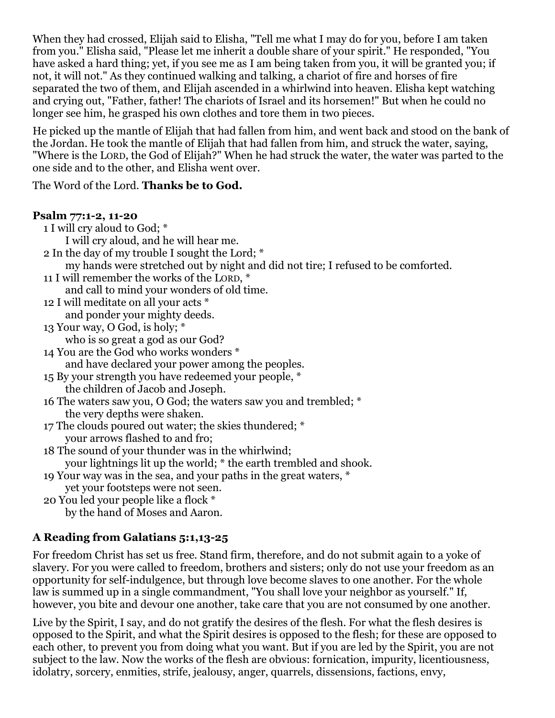When they had crossed, Elijah said to Elisha, "Tell me what I may do for you, before I am taken from you." Elisha said, "Please let me inherit a double share of your spirit." He responded, "You have asked a hard thing; yet, if you see me as I am being taken from you, it will be granted you; if not, it will not." As they continued walking and talking, a chariot of fire and horses of fire separated the two of them, and Elijah ascended in a whirlwind into heaven. Elisha kept watching and crying out, "Father, father! The chariots of Israel and its horsemen!" But when he could no longer see him, he grasped his own clothes and tore them in two pieces.

He picked up the mantle of Elijah that had fallen from him, and went back and stood on the bank of the Jordan. He took the mantle of Elijah that had fallen from him, and struck the water, saying, "Where is the LORD, the God of Elijah?" When he had struck the water, the water was parted to the one side and to the other, and Elisha went over.

The Word of the Lord. **Thanks be to God.**

### **Psalm 77:1-2, 11-20**

- 1 I will cry aloud to God; \* I will cry aloud, and he will hear me. 2 In the day of my trouble I sought the Lord; \* my hands were stretched out by night and did not tire; I refused to be comforted. 11 I will remember the works of the LORD, \* and call to mind your wonders of old time. 12 I will meditate on all your acts \* and ponder your mighty deeds. 13 Your way, O God, is holy; \* who is so great a god as our God? 14 You are the God who works wonders \* and have declared your power among the peoples. 15 By your strength you have redeemed your people, \* the children of Jacob and Joseph. 16 The waters saw you, O God; the waters saw you and trembled; \* the very depths were shaken. 17 The clouds poured out water; the skies thundered; \* your arrows flashed to and fro; 18 The sound of your thunder was in the whirlwind; your lightnings lit up the world; \* the earth trembled and shook. 19 Your way was in the sea, and your paths in the great waters, \* yet your footsteps were not seen. 20 You led your people like a flock \*
	- by the hand of Moses and Aaron.

## **A Reading from Galatians 5:1,13-25**

For freedom Christ has set us free. Stand firm, therefore, and do not submit again to a yoke of slavery. For you were called to freedom, brothers and sisters; only do not use your freedom as an opportunity for self-indulgence, but through love become slaves to one another. For the whole law is summed up in a single commandment, "You shall love your neighbor as yourself." If, however, you bite and devour one another, take care that you are not consumed by one another.

Live by the Spirit, I say, and do not gratify the desires of the flesh. For what the flesh desires is opposed to the Spirit, and what the Spirit desires is opposed to the flesh; for these are opposed to each other, to prevent you from doing what you want. But if you are led by the Spirit, you are not subject to the law. Now the works of the flesh are obvious: fornication, impurity, licentiousness, idolatry, sorcery, enmities, strife, jealousy, anger, quarrels, dissensions, factions, envy,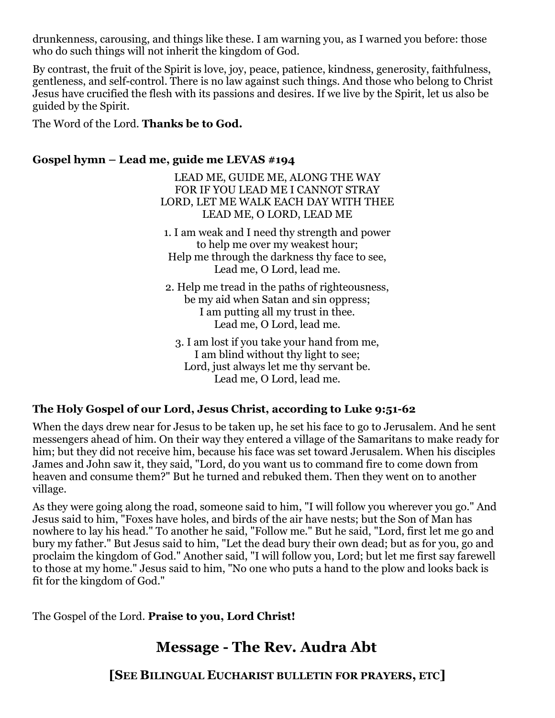drunkenness, carousing, and things like these. I am warning you, as I warned you before: those who do such things will not inherit the kingdom of God.

By contrast, the fruit of the Spirit is love, joy, peace, patience, kindness, generosity, faithfulness, gentleness, and self-control. There is no law against such things. And those who belong to Christ Jesus have crucified the flesh with its passions and desires. If we live by the Spirit, let us also be guided by the Spirit.

The Word of the Lord. **Thanks be to God.**

#### **Gospel hymn – Lead me, guide me LEVAS #194**

LEAD ME, GUIDE ME, ALONG THE WAY FOR IF YOU LEAD ME I CANNOT STRAY LORD, LET ME WALK EACH DAY WITH THEE LEAD ME, O LORD, LEAD ME

1. I am weak and I need thy strength and power to help me over my weakest hour; Help me through the darkness thy face to see, Lead me, O Lord, lead me.

2. Help me tread in the paths of righteousness, be my aid when Satan and sin oppress; I am putting all my trust in thee. Lead me, O Lord, lead me.

3. I am lost if you take your hand from me, I am blind without thy light to see; Lord, just always let me thy servant be. Lead me, O Lord, lead me.

#### **The Holy Gospel of our Lord, Jesus Christ, according to Luke 9:51-62**

When the days drew near for Jesus to be taken up, he set his face to go to Jerusalem. And he sent messengers ahead of him. On their way they entered a village of the Samaritans to make ready for him; but they did not receive him, because his face was set toward Jerusalem. When his disciples James and John saw it, they said, "Lord, do you want us to command fire to come down from heaven and consume them?" But he turned and rebuked them. Then they went on to another village.

As they were going along the road, someone said to him, "I will follow you wherever you go." And Jesus said to him, "Foxes have holes, and birds of the air have nests; but the Son of Man has nowhere to lay his head." To another he said, "Follow me." But he said, "Lord, first let me go and bury my father." But Jesus said to him, "Let the dead bury their own dead; but as for you, go and proclaim the kingdom of God." Another said, "I will follow you, Lord; but let me first say farewell to those at my home." Jesus said to him, "No one who puts a hand to the plow and looks back is fit for the kingdom of God."

The Gospel of the Lord. **Praise to you, Lord Christ!**

# **Message - The Rev. Audra Abt**

**[SEE BILINGUAL EUCHARIST BULLETIN FOR PRAYERS, ETC]**